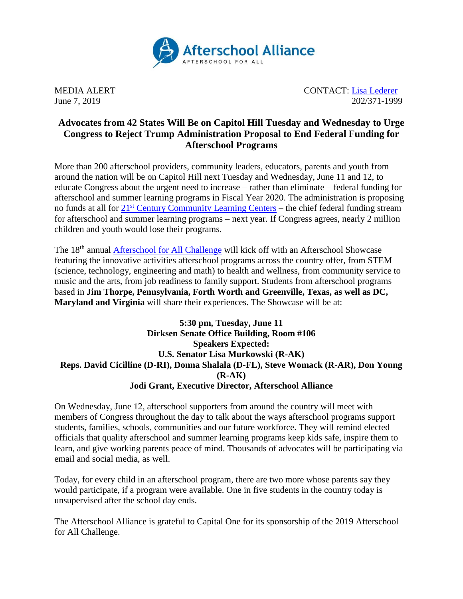

MEDIA ALERT CONTACT: [Lisa Lederer](mailto:lisa@prsolutionsdc.com) June 7, 2019 202/371-1999

## **Advocates from 42 States Will Be on Capitol Hill Tuesday and Wednesday to Urge Congress to Reject Trump Administration Proposal to End Federal Funding for Afterschool Programs**

More than 200 afterschool providers, community leaders, educators, parents and youth from around the nation will be on Capitol Hill next Tuesday and Wednesday, June 11 and 12, to educate Congress about the urgent need to increase – rather than eliminate – federal funding for afterschool and summer learning programs in Fiscal Year 2020. The administration is proposing no funds at all for 21<sup>st</sup> [Century Community Learning Centers](http://www.afterschoolalliance.org/policy21stcclc.cfm) – the chief federal funding stream for afterschool and summer learning programs – next year. If Congress agrees, nearly 2 million children and youth would lose their programs.

The 18<sup>th</sup> annual **Afterschool for All Challenge** will kick off with an Afterschool Showcase featuring the innovative activities afterschool programs across the country offer, from STEM (science, technology, engineering and math) to health and wellness, from community service to music and the arts, from job readiness to family support. Students from afterschool programs based in **Jim Thorpe, Pennsylvania, Forth Worth and Greenville, Texas, as well as DC, Maryland and Virginia** will share their experiences. The Showcase will be at:

## **5:30 pm, Tuesday, June 11 Dirksen Senate Office Building, Room #106 Speakers Expected: U.S. Senator Lisa Murkowski (R-AK) Reps. David Cicilline (D-RI), Donna Shalala (D-FL), Steve Womack (R-AR), Don Young (R-AK) Jodi Grant, Executive Director, Afterschool Alliance**

On Wednesday, June 12, afterschool supporters from around the country will meet with members of Congress throughout the day to talk about the ways afterschool programs support students, families, schools, communities and our future workforce. They will remind elected officials that quality afterschool and summer learning programs keep kids safe, inspire them to learn, and give working parents peace of mind. Thousands of advocates will be participating via email and social media, as well.

Today, for every child in an afterschool program, there are two more whose parents say they would participate, if a program were available. One in five students in the country today is unsupervised after the school day ends.

The Afterschool Alliance is grateful to Capital One for its sponsorship of the 2019 Afterschool for All Challenge.